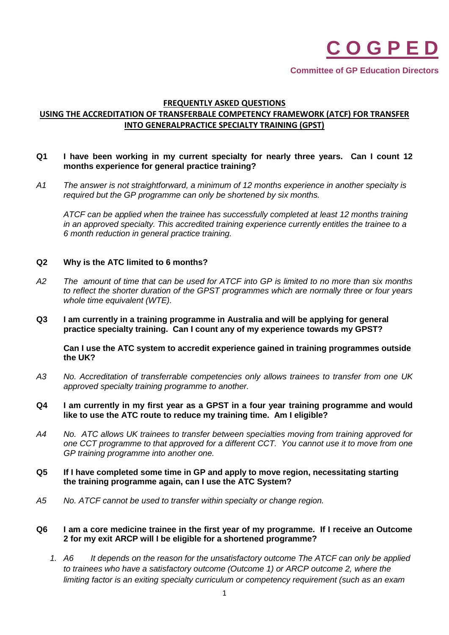

**Committee of GP Education Directors**

# **FREQUENTLY ASKED QUESTIONS USING THE ACCREDITATION OF TRANSFERBALE COMPETENCY FRAMEWORK (ATCF) FOR TRANSFER INTO GENERALPRACTICE SPECIALTY TRAINING (GPST)**

### **Q1 I have been working in my current specialty for nearly three years. Can I count 12 months experience for general practice training?**

*A1 The answer is not straightforward, a minimum of 12 months experience in another specialty is required but the GP programme can only be shortened by six months.*

*ATCF can be applied when the trainee has successfully completed at least 12 months training in an approved specialty. This accredited training experience currently entitles the trainee to a 6 month reduction in general practice training.*

#### **Q2 Why is the ATC limited to 6 months?**

- *A2 The amount of time that can be used for ATCF into GP is limited to no more than six months to reflect the shorter duration of the GPST programmes which are normally three or four years whole time equivalent (WTE).*
- **Q3 I am currently in a training programme in Australia and will be applying for general practice specialty training. Can I count any of my experience towards my GPST?**

**Can I use the ATC system to accredit experience gained in training programmes outside the UK?**

*A3 No. Accreditation of transferrable competencies only allows trainees to transfer from one UK approved specialty training programme to another.*

#### **Q4 I am currently in my first year as a GPST in a four year training programme and would like to use the ATC route to reduce my training time. Am I eligible?**

- *A4 No. ATC allows UK trainees to transfer between specialties moving from training approved for one CCT programme to that approved for a different CCT. You cannot use it to move from one GP training programme into another one.*
- **Q5 If I have completed some time in GP and apply to move region, necessitating starting the training programme again, can I use the ATC System?**
- *A5 No. ATCF cannot be used to transfer within specialty or change region.*

### **Q6 I am a core medicine trainee in the first year of my programme. If I receive an Outcome 2 for my exit ARCP will I be eligible for a shortened programme?**

*1. A6 It depends on the reason for the unsatisfactory outcome The ATCF can only be applied to trainees who have a satisfactory outcome (Outcome 1) or ARCP outcome 2, where the limiting factor is an exiting specialty curriculum or competency requirement (such as an exam*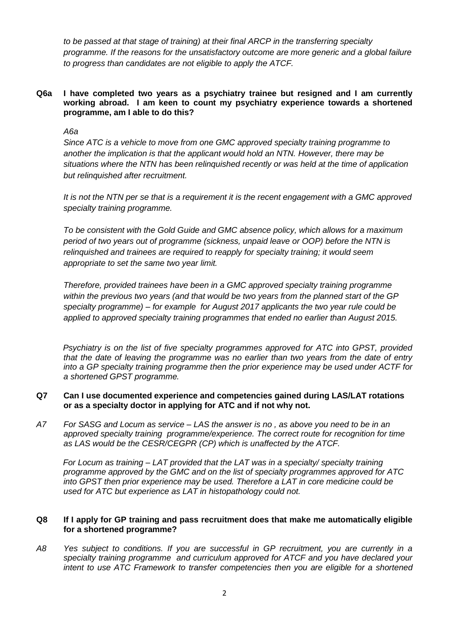*to be passed at that stage of training) at their final ARCP in the transferring specialty programme. If the reasons for the unsatisfactory outcome are more generic and a global failure to progress than candidates are not eligible to apply the ATCF.*

**Q6a I have completed two years as a psychiatry trainee but resigned and I am currently working abroad. I am keen to count my psychiatry experience towards a shortened programme, am I able to do this?**

*A6a*

*Since ATC is a vehicle to move from one GMC approved specialty training programme to another the implication is that the applicant would hold an NTN. However, there may be situations where the NTN has been relinquished recently or was held at the time of application but relinquished after recruitment.*

*It is not the NTN per se that is a requirement it is the recent engagement with a GMC approved specialty training programme.* 

*To be consistent with the Gold Guide and GMC absence policy, which allows for a maximum period of two years out of programme (sickness, unpaid leave or OOP) before the NTN is relinquished and trainees are required to reapply for specialty training; it would seem appropriate to set the same two year limit.*

*Therefore, provided trainees have been in a GMC approved specialty training programme within the previous two years (and that would be two years from the planned start of the GP specialty programme) – for example for August 2017 applicants the two year rule could be applied to approved specialty training programmes that ended no earlier than August 2015.*

*Psychiatry is on the list of five specialty programmes approved for ATC into GPST, provided that the date of leaving the programme was no earlier than two years from the date of entry into a GP specialty training programme then the prior experience may be used under ACTF for a shortened GPST programme.*

### **Q7 Can I use documented experience and competencies gained during LAS/LAT rotations or as a specialty doctor in applying for ATC and if not why not.**

*A7 For SASG and Locum as service – LAS the answer is no , as above you need to be in an approved specialty training programme/experience. The correct route for recognition for time as LAS would be the CESR/CEGPR (CP) which is unaffected by the ATCF.*

*For Locum as training – LAT provided that the LAT was in a specialty/ specialty training programme approved by the GMC and on the list of specialty programmes approved for ATC into GPST then prior experience may be used. Therefore a LAT in core medicine could be used for ATC but experience as LAT in histopathology could not.*

## **Q8 If I apply for GP training and pass recruitment does that make me automatically eligible for a shortened programme?**

*A8 Yes subject to conditions. If you are successful in GP recruitment, you are currently in a specialty training programme and curriculum approved for ATCF and you have declared your intent to use ATC Framework to transfer competencies then you are eligible for a shortened*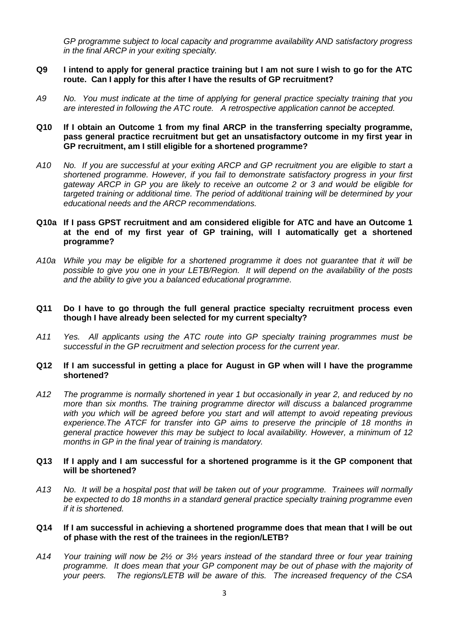*GP programme subject to local capacity and programme availability AND satisfactory progress in the final ARCP in your exiting specialty.*

### **Q9 I intend to apply for general practice training but I am not sure I wish to go for the ATC route. Can I apply for this after I have the results of GP recruitment?**

*A9 No. You must indicate at the time of applying for general practice specialty training that you are interested in following the ATC route. A retrospective application cannot be accepted.* 

### **Q10 If I obtain an Outcome 1 from my final ARCP in the transferring specialty programme, pass general practice recruitment but get an unsatisfactory outcome in my first year in GP recruitment, am I still eligible for a shortened programme?**

*A10 No. If you are successful at your exiting ARCP and GP recruitment you are eligible to start a shortened programme. However, if you fail to demonstrate satisfactory progress in your first gateway ARCP in GP you are likely to receive an outcome 2 or 3 and would be eligible for targeted training or additional time. The period of additional training will be determined by your educational needs and the ARCP recommendations.* 

### **Q10a If I pass GPST recruitment and am considered eligible for ATC and have an Outcome 1 at the end of my first year of GP training, will I automatically get a shortened programme?**

*A10a While you may be eligible for a shortened programme it does not guarantee that it will be possible to give you one in your LETB/Region. It will depend on the availability of the posts and the ability to give you a balanced educational programme.* 

### **Q11 Do I have to go through the full general practice specialty recruitment process even though I have already been selected for my current specialty?**

*A11 Yes. All applicants using the ATC route into GP specialty training programmes must be successful in the GP recruitment and selection process for the current year.* 

#### **Q12 If I am successful in getting a place for August in GP when will I have the programme shortened?**

*A12 The programme is normally shortened in year 1 but occasionally in year 2, and reduced by no more than six months. The training programme director will discuss a balanced programme with you which will be agreed before you start and will attempt to avoid repeating previous experience.The ATCF for transfer into GP aims to preserve the principle of 18 months in general practice however this may be subject to local availability. However, a minimum of 12 months in GP in the final year of training is mandatory.*

#### **Q13 If I apply and I am successful for a shortened programme is it the GP component that will be shortened?**

*A13 No. It will be a hospital post that will be taken out of your programme. Trainees will normally be expected to do 18 months in a standard general practice specialty training programme even if it is shortened.* 

#### **Q14 If I am successful in achieving a shortened programme does that mean that I will be out of phase with the rest of the trainees in the region/LETB?**

*A14 Your training will now be 2½ or 3½ years instead of the standard three or four year training programme. It does mean that your GP component may be out of phase with the majority of your peers. The regions/LETB will be aware of this. The increased frequency of the CSA*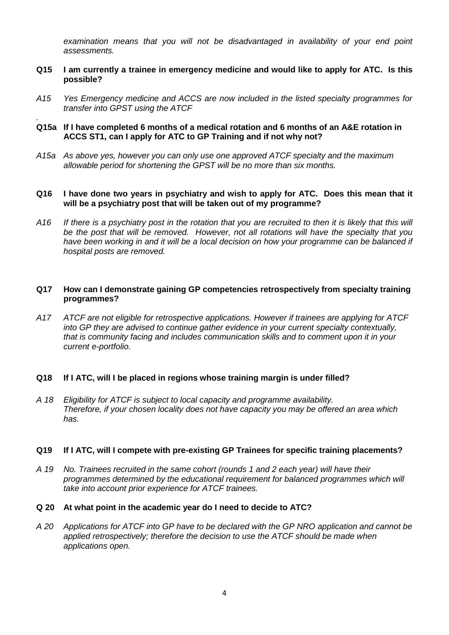*examination means that you will not be disadvantaged in availability of your end point assessments.* 

- **Q15 I am currently a trainee in emergency medicine and would like to apply for ATC. Is this possible?**
- *A15 Yes Emergency medicine and ACCS are now included in the listed specialty programmes for transfer into GPST using the ATCF*
- *.* **Q15a If I have completed 6 months of a medical rotation and 6 months of an A&E rotation in ACCS ST1, can I apply for ATC to GP Training and if not why not?**
- *A15a As above yes, however you can only use one approved ATCF specialty and the maximum allowable period for shortening the GPST will be no more than six months.*

### **Q16 I have done two years in psychiatry and wish to apply for ATC. Does this mean that it will be a psychiatry post that will be taken out of my programme?**

*A16 If there is a psychiatry post in the rotation that you are recruited to then it is likely that this will be the post that will be removed. However, not all rotations will have the specialty that you have been working in and it will be a local decision on how your programme can be balanced if hospital posts are removed.* 

### **Q17 How can I demonstrate gaining GP competencies retrospectively from specialty training programmes?**

*A17 ATCF are not eligible for retrospective applications. However if trainees are applying for ATCF into GP they are advised to continue gather evidence in your current specialty contextually, that is community facing and includes communication skills and to comment upon it in your current e-portfolio.*

#### **Q18 If I ATC, will I be placed in regions whose training margin is under filled?**

*A 18 Eligibility for ATCF is subject to local capacity and programme availability. Therefore, if your chosen locality does not have capacity you may be offered an area which has.*

#### **Q19 If I ATC, will I compete with pre-existing GP Trainees for specific training placements?**

- *A 19 No. Trainees recruited in the same cohort (rounds 1 and 2 each year) will have their programmes determined by the educational requirement for balanced programmes which will take into account prior experience for ATCF trainees.*
- **Q 20 At what point in the academic year do I need to decide to ATC?**
- *A 20 Applications for ATCF into GP have to be declared with the GP NRO application and cannot be applied retrospectively; therefore the decision to use the ATCF should be made when applications open.*